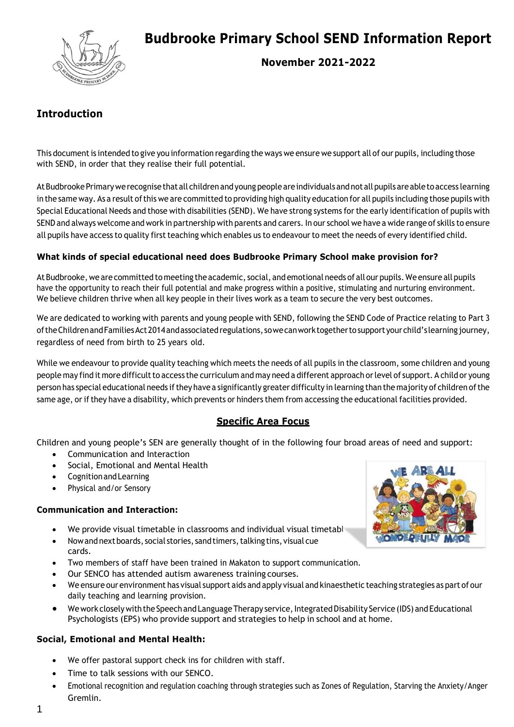

# **Budbrooke Primary School SEND Information Report**

**November 2021-2022**

# **Introduction**

This document is intended to give you information regarding the ways we ensure we support all of our pupils, including those with SEND, in order that they realise their full potential.

At Budbrooke Primary we recognise that all children and young people are individuals and not all pupils are able to access learning in the same way. As a result ofthis we are committed to providing high quality education for all pupils including those pupils with Special Educational Needs and those with disabilities (SEND). We have strong systems for the early identification of pupils with SEND and always welcome and work in partnership with parents and carers. In our school we have a wide range of skills to ensure all pupils have access to quality first teaching which enables us to endeavour to meet the needs of every identified child.

# **What kinds of special educational need does Budbrooke Primary School make provision for?**

AtBudbrooke, we are committed to meeting the academic, social, and emotional needs of all our pupils. We ensure allpupils have the opportunity to reach their full potential and make progress within a positive, stimulating and nurturing environment. We believe children thrive when all key people in their lives work as a team to secure the very best outcomes.

We are dedicated to working with parents and young people with SEND, following the SEND Code of Practice relating to Part 3 oftheChildrenandFamiliesAct2014andassociatedregulations, sowecanworktogethertosupportyourchild's learningjourney, regardless of need from birth to 25 years old.

While we endeavour to provide quality teaching which meets the needs of all pupils in the classroom, some children and young people may find it more difficult to access the curriculum and may need a different approach or level of support. A child or young person has special educational needs ifthey have a significantly greater difficulty in learning than the majority of children ofthe same age, or if they have a disability, which prevents or hinders them from accessing the educational facilities provided.

# **Specific Area Focus**

Children and young people's SEN are generally thought of in the following four broad areas of need and support:

- Communication and Interaction
- Social, Emotional and Mental Health
- CognitionandLearning
- Physical and/or Sensory

# **Communication and Interaction:**

- We provide visual timetable in classrooms and individual visual timetables.
- Now and next boards, social stories, sand timers, talking tins, visual cue cards.
- Two members of staff have been trained in Makaton to support communication.
- Our SENCO has attended autism awareness training courses.
- We ensure our environment has visual support aids and apply visual and kinaesthetic teaching strategies as part of our daily teaching and learning provision.
- We work closely with the Speech and Language Therapy service, Integrated Disability Service (IDS) and Educational Psychologists (EPS) who provide support and strategies to help in school and at home.

# **Social, Emotional and Mental Health:**

- We offer pastoral support check ins for children with staff.
- Time to talk sessions with our SENCO.
- Emotional recognition and regulation coaching through strategies such as Zones of Regulation, Starving the Anxiety/Anger Gremlin.

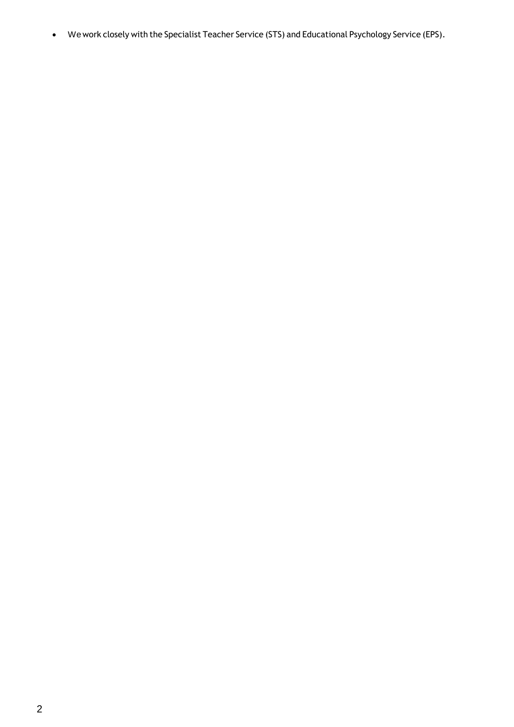We work closely with the Specialist Teacher Service (STS) and Educational Psychology Service (EPS).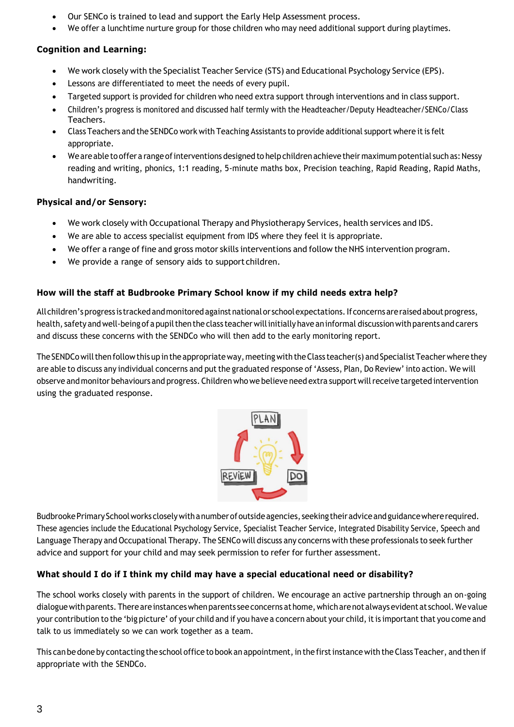- Our SENCo is trained to lead and support the Early Help Assessment process.
- We offer a lunchtime nurture group for those children who may need additional support during playtimes.

# **Cognition and Learning:**

- We work closely with the Specialist Teacher Service (STS) and Educational Psychology Service (EPS).
- Lessons are differentiated to meet the needs of every pupil.
- Targeted support is provided for children who need extra support through interventions and in class support.
- Children's progress is monitored and discussed half termly with the Headteacher/Deputy Headteacher/SENCo/Class Teachers.
- Class Teachers and the SENDCo work with Teaching Assistants to provide additional support where it is felt appropriate.
- We are able to offer a range of interventions designed to help children achieve their maximum potential such as: Nessy reading and writing, phonics, 1:1 reading, 5-minute maths box, Precision teaching, Rapid Reading, Rapid Maths, handwriting.

#### **Physical and/or Sensory:**

- We work closely with Occupational Therapy and Physiotherapy Services, health services and IDS.
- We are able to access specialist equipment from IDS where they feel it is appropriate.
- We offer a range of fine and gross motor skills interventions and follow the NHS intervention program.
- We provide a range of sensory aids to support children.

#### **How will the staff at Budbrooke Primary School know if my child needs extra help?**

All children's progress is tracked and monitored against national or school expectations. If concerns are raised about progress, health, safety and well-being of a pupil then the class teacher will initially have an informal discussion with parents and carers and discuss these concerns with the SENDCo who will then add to the early monitoring report.

The SENDCo will then follow this up in the appropriate way, meeting with the Class teacher(s) and Specialist Teacher where they are able to discuss any individual concerns and put the graduated response of 'Assess, Plan, Do Review' into action. We will observe and monitor behaviours and progress. Children who we believe need extra supportwillreceive targeted intervention using the graduated response.



Budbrooke Primary School works closely with a number of outside agencies, seeking their advice and guidance where required. These agencies include the Educational Psychology Service, Specialist Teacher Service, Integrated Disability Service, Speech and Language Therapy and Occupational Therapy. The SENCo will discuss any concerns with these professionals to seek further advice and support for your child and may seek permission to refer for further assessment.

# **What should I do if I think my child may have a special educational need or disability?**

The school works closely with parents in the support of children. We encourage an active partnership through an on-going dialoguewithparents. Thereareinstanceswhenparents seeconcerns athome,whicharenotalwaysevidentat school.Wevalue your contribution to the 'big picture' of your child and if you have a concern about your child, it is important that you come and talk to us immediately so we can work together as a team.

This can be done by contacting the school office to book an appointment, in the first instance with the Class Teacher, and then if appropriate with the SENDCo.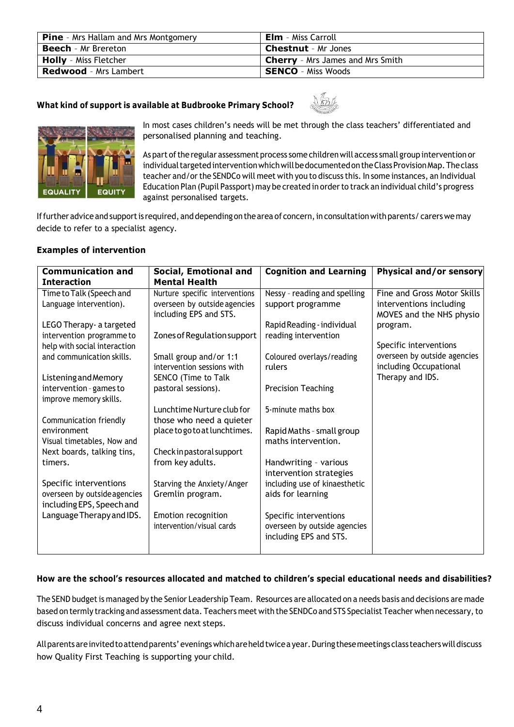| <b>Pine</b> - Mrs Hallam and Mrs Montgomery | <b>Elm</b> - Miss Carroll               |
|---------------------------------------------|-----------------------------------------|
| <b>Beech</b> - Mr Brereton                  | <b>Chestnut</b> - Mr Jones              |
| <b>Holly</b> - Miss Fletcher                | <b>Cherry</b> - Mrs James and Mrs Smith |
| <b>Redwood</b> - Mrs Lambert                | <b>SENCO</b> - Miss Woods               |

# **What kind of support is available at Budbrooke Primary School?**





In most cases children's needs will be met through the class teachers' differentiated and personalised planning and teaching.

As part of the regular assessment process some children will access small group intervention or individual targeted intervention which will be documented on the Class Provision Map. The class teacher and/orthe SENDCo will meet with you to discuss this. In some instances, an Individual Education Plan (Pupil Passport) may be created in order to track an individual child's progress against personalised targets.

If further advice and support is required, and depending on the area of concern, in consultation with parents/ carers we may decide to refer to a specialist agency.

# **Examples of intervention**

| Social, Emotional and          | <b>Cognition and Learning</b>                                                                                                                                                                                                                                                                                                                                                                                 | Physical and/or sensory                                                                                                                                                                                                                                                                                                                                                                        |
|--------------------------------|---------------------------------------------------------------------------------------------------------------------------------------------------------------------------------------------------------------------------------------------------------------------------------------------------------------------------------------------------------------------------------------------------------------|------------------------------------------------------------------------------------------------------------------------------------------------------------------------------------------------------------------------------------------------------------------------------------------------------------------------------------------------------------------------------------------------|
| <b>Mental Health</b>           |                                                                                                                                                                                                                                                                                                                                                                                                               |                                                                                                                                                                                                                                                                                                                                                                                                |
| Nurture specific interventions | Nessy - reading and spelling                                                                                                                                                                                                                                                                                                                                                                                  | Fine and Gross Motor Skills                                                                                                                                                                                                                                                                                                                                                                    |
| overseen by outside agencies   | support programme                                                                                                                                                                                                                                                                                                                                                                                             | interventions including                                                                                                                                                                                                                                                                                                                                                                        |
|                                |                                                                                                                                                                                                                                                                                                                                                                                                               | MOVES and the NHS physio                                                                                                                                                                                                                                                                                                                                                                       |
|                                |                                                                                                                                                                                                                                                                                                                                                                                                               | program.                                                                                                                                                                                                                                                                                                                                                                                       |
|                                |                                                                                                                                                                                                                                                                                                                                                                                                               |                                                                                                                                                                                                                                                                                                                                                                                                |
|                                |                                                                                                                                                                                                                                                                                                                                                                                                               | Specific interventions                                                                                                                                                                                                                                                                                                                                                                         |
|                                |                                                                                                                                                                                                                                                                                                                                                                                                               | overseen by outside agencies                                                                                                                                                                                                                                                                                                                                                                   |
|                                |                                                                                                                                                                                                                                                                                                                                                                                                               | including Occupational                                                                                                                                                                                                                                                                                                                                                                         |
|                                |                                                                                                                                                                                                                                                                                                                                                                                                               | Therapy and IDS.                                                                                                                                                                                                                                                                                                                                                                               |
|                                |                                                                                                                                                                                                                                                                                                                                                                                                               |                                                                                                                                                                                                                                                                                                                                                                                                |
|                                |                                                                                                                                                                                                                                                                                                                                                                                                               |                                                                                                                                                                                                                                                                                                                                                                                                |
|                                |                                                                                                                                                                                                                                                                                                                                                                                                               |                                                                                                                                                                                                                                                                                                                                                                                                |
|                                |                                                                                                                                                                                                                                                                                                                                                                                                               |                                                                                                                                                                                                                                                                                                                                                                                                |
|                                |                                                                                                                                                                                                                                                                                                                                                                                                               |                                                                                                                                                                                                                                                                                                                                                                                                |
|                                |                                                                                                                                                                                                                                                                                                                                                                                                               |                                                                                                                                                                                                                                                                                                                                                                                                |
|                                |                                                                                                                                                                                                                                                                                                                                                                                                               |                                                                                                                                                                                                                                                                                                                                                                                                |
|                                |                                                                                                                                                                                                                                                                                                                                                                                                               |                                                                                                                                                                                                                                                                                                                                                                                                |
|                                |                                                                                                                                                                                                                                                                                                                                                                                                               |                                                                                                                                                                                                                                                                                                                                                                                                |
|                                |                                                                                                                                                                                                                                                                                                                                                                                                               |                                                                                                                                                                                                                                                                                                                                                                                                |
|                                |                                                                                                                                                                                                                                                                                                                                                                                                               |                                                                                                                                                                                                                                                                                                                                                                                                |
|                                |                                                                                                                                                                                                                                                                                                                                                                                                               |                                                                                                                                                                                                                                                                                                                                                                                                |
|                                |                                                                                                                                                                                                                                                                                                                                                                                                               |                                                                                                                                                                                                                                                                                                                                                                                                |
|                                |                                                                                                                                                                                                                                                                                                                                                                                                               |                                                                                                                                                                                                                                                                                                                                                                                                |
|                                |                                                                                                                                                                                                                                                                                                                                                                                                               |                                                                                                                                                                                                                                                                                                                                                                                                |
|                                | including EPS and STS.<br>Zones of Regulation support<br>Small group and/or 1:1<br>intervention sessions with<br>SENCO (Time to Talk<br>pastoral sessions).<br>Lunchtime Nurture club for<br>those who need a quieter<br>place to go to at lunchtimes.<br>Check in pastoral support<br>from key adults.<br>Starving the Anxiety/Anger<br>Gremlin program.<br>Emotion recognition<br>intervention/visual cards | Rapid Reading - individual<br>reading intervention<br>Coloured overlays/reading<br>rulers<br><b>Precision Teaching</b><br>5-minute maths box<br>Rapid Maths - small group<br>maths intervention.<br>Handwriting - various<br>intervention strategies<br>including use of kinaesthetic<br>aids for learning<br>Specific interventions<br>overseen by outside agencies<br>including EPS and STS. |

# **How are the school's resources allocated and matched to children's special educational needs and disabilities?**

The SEND budget is managed by the Senior Leadership Team. Resources are allocated on a needs basis and decisions are made based on termly tracking and assessment data. Teachers meet with the SENDCo and STS Specialist Teacher when necessary, to discuss individual concerns and agree next steps.

All parents are invited to attend parents' evenings which are held twice a year. During these meetings class teachers will discuss how Quality First Teaching is supporting your child.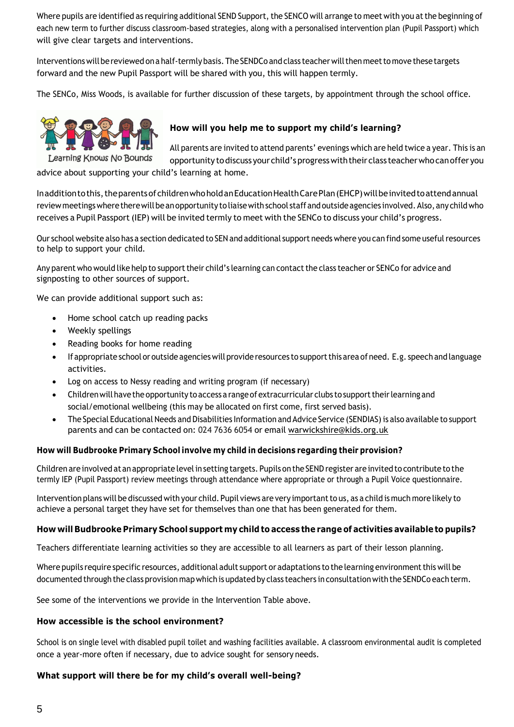Where pupils are identified as requiring additional SEND Support, the SENCO will arrange to meet with you at the beginning of each new term to further discuss classroom-based strategies, along with a personalised intervention plan (Pupil Passport) which will give clear targets and interventions.

Interventions will be reviewed on a half-termly basis. The SENDCo and class teacher will then meet to move these targets forward and the new Pupil Passport will be shared with you, this will happen termly.

The SENCo, Miss Woods, is available for further discussion of these targets, by appointment through the school office.



# **How will you help me to support my child's learning?**

All parents are invited to attend parents' evenings which are held twice a year. This is an opportunity todiscuss yourchild'sprogresswiththeirclass teacherwhocanofferyou

advice about supporting your child's learning at home.

Inadditiontothis,theparentsofchildrenwhoholdanEducationHealthCarePlan(EHCP)willbeinvitedtoattendannual review meetings where there will be an opportunity to liaise with school staff and outside agencies involved. Also, any child who receives a Pupil Passport (IEP) will be invited termly to meet with the SENCo to discuss your child's progress.

Our school website also has a section dedicated to SEN and additional support needs where you can find some usefulresources to help to support your child.

Any parent who would like help to support their child's learning can contact the class teacher or SENCo for advice and signposting to other sources of support.

We can provide additional support such as:

- Home school catch up reading packs
- Weekly spellings
- Reading books for home reading
- If appropriate school or outside agencies will provide resources to support this area of need. E.g. speech and language activities.
- Log on access to Nessy reading and writing program (if necessary)
- Children will have the opportunity to access a range of extracurricular clubs to support their learning and social/emotional wellbeing (this may be allocated on first come, first served basis).
- The Special Educational Needs and Disabilities Information and Advice Service (SENDIAS) is also available to support parents and can be contacted on: 024 7636 6054 or email [warwickshire@kids.org.uk](mailto:warwickshire@kids.org.uk)

#### **How will Budbrooke Primary School involve my child in decisions regarding their provision?**

Children are involved at an appropriate level in setting targets. Pupils on the SEND register are invited to contribute to the termly IEP (Pupil Passport) review meetings through attendance where appropriate or through a Pupil Voice questionnaire.

Intervention plans will be discussed with your child. Pupil views are very importantto us, as a child is much more likely to achieve a personal target they have set for themselves than one that has been generated for them.

#### **How will Budbrooke Primary School support my child to access the range of activities available to pupils?**

Teachers differentiate learning activities so they are accessible to all learners as part of their lesson planning.

Where pupils require specific resources, additional adult support or adaptations to the learning environment this will be documented through the class provision mapwhich is updated by class teachers in consultation with the SENDCo each term.

See some of the interventions we provide in the Intervention Table above.

#### **How accessible is the school environment?**

School is on single level with disabled pupil toilet and washing facilities available. A classroom environmental audit is completed once a year-more often if necessary, due to advice sought for sensory needs.

#### **What support will there be for my child's overall well-being?**